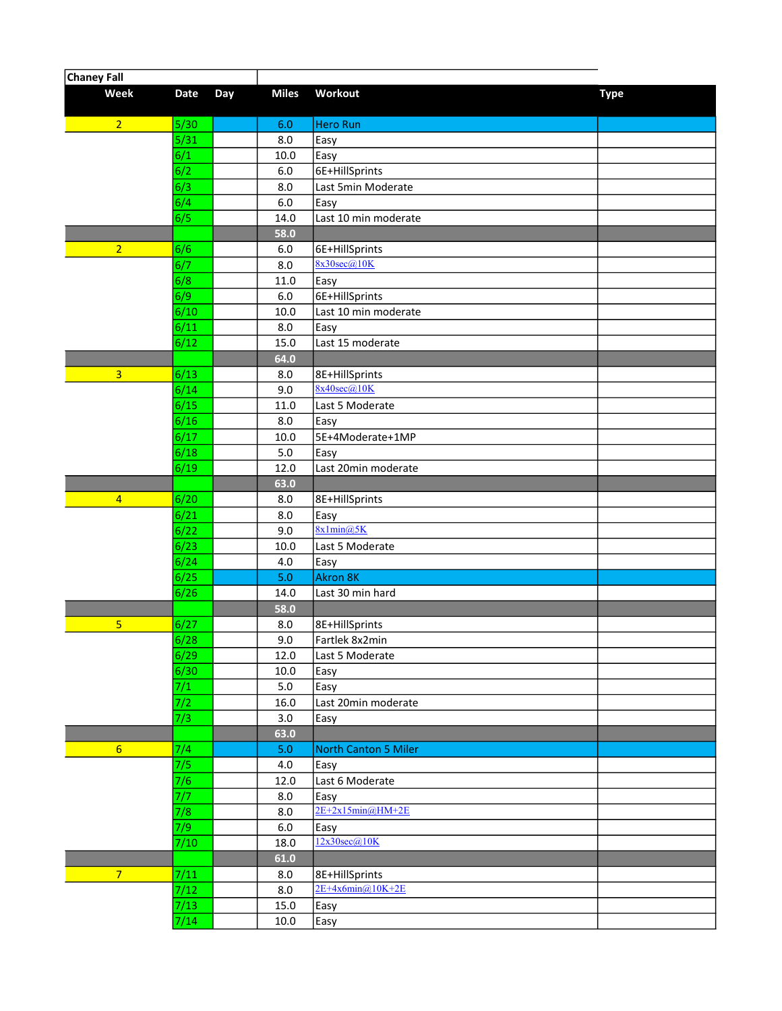| <b>Chaney Fall</b>      |              |     |              |                                  |             |  |
|-------------------------|--------------|-----|--------------|----------------------------------|-------------|--|
| Week                    | <b>Date</b>  | Day | <b>Miles</b> | Workout                          | <b>Type</b> |  |
| $\overline{2}$          | 5/30         |     | 6.0          | Hero Run                         |             |  |
|                         | $5/31$       |     | 8.0          | Easy                             |             |  |
|                         | 6/1          |     | 10.0         | Easy                             |             |  |
|                         | 6/2          |     | 6.0          | 6E+HillSprints                   |             |  |
|                         | 6/3          |     | 8.0          | Last 5min Moderate               |             |  |
|                         | 6/4          |     | 6.0          | Easy                             |             |  |
|                         | 6/5          |     | 14.0         | Last 10 min moderate             |             |  |
|                         |              |     | 58.0         |                                  |             |  |
| $\overline{2}$          | 6/6          |     | 6.0          | 6E+HillSprints                   |             |  |
|                         | 6/7          |     | 8.0          | 8x30sec(a)10K                    |             |  |
|                         | 6/8          |     | 11.0         | Easy                             |             |  |
|                         | 6/9          |     | $6.0\,$      | 6E+HillSprints                   |             |  |
|                         | 6/10         |     | 10.0         | Last 10 min moderate             |             |  |
|                         | 6/11         |     | 8.0          | Easy                             |             |  |
|                         | 6/12         |     | 15.0         | Last 15 moderate                 |             |  |
|                         |              |     | 64.0         |                                  |             |  |
| $\overline{\mathbf{3}}$ | 6/13         |     | 8.0          | 8E+HillSprints                   |             |  |
|                         | 6/14         |     | 9.0          | $8x40\sec(a)10K$                 |             |  |
|                         | 6/15         |     | 11.0         | Last 5 Moderate                  |             |  |
|                         | 6/16         |     | 8.0          | Easy                             |             |  |
|                         | 6/17         |     | 10.0         | 5E+4Moderate+1MP                 |             |  |
|                         | 6/18         |     | 5.0          | Easy                             |             |  |
|                         | 6/19         |     | 12.0         | Last 20min moderate              |             |  |
|                         |              |     | 63.0         |                                  |             |  |
| $\overline{4}$          | 6/20         |     | 8.0          | 8E+HillSprints                   |             |  |
|                         | 6/21         |     | 8.0          | Easy                             |             |  |
|                         | 6/22         |     | 9.0          | 8x1min@5K                        |             |  |
|                         | 6/23         |     | 10.0         | Last 5 Moderate                  |             |  |
|                         | 6/24         |     | 4.0          | Easy                             |             |  |
|                         | 6/25         |     | 5.0          | <b>Akron 8K</b>                  |             |  |
|                         | 6/26         |     | 14.0         | Last 30 min hard                 |             |  |
|                         |              |     | 58.0         |                                  |             |  |
| $\overline{5}$          | 6/27<br>6/28 |     | 8.0<br>9.0   | 8E+HillSprints<br>Fartlek 8x2min |             |  |
|                         | 6/29         |     |              | Last 5 Moderate                  |             |  |
|                         | 6/30         |     | 12.0<br>10.0 | Easy                             |             |  |
|                         | 7/1          |     | $5.0\,$      | Easy                             |             |  |
|                         | 7/2          |     | 16.0         | Last 20min moderate              |             |  |
|                         | 7/3          |     | $3.0\,$      | Easy                             |             |  |
|                         |              |     | 63.0         |                                  |             |  |
| $6\overline{6}$         | 7/4          |     | 5.0          | North Canton 5 Miler             |             |  |
|                         | 7/5          |     | $4.0\,$      | Easy                             |             |  |
|                         | 7/6          |     | 12.0         | Last 6 Moderate                  |             |  |
|                         | 7/7          |     | 8.0          | Easy                             |             |  |
|                         | 7/8          |     | 8.0          | $2E+2x15min@HM+2E$               |             |  |
|                         | 7/9          |     | $6.0\,$      | Easy                             |             |  |
|                         | 7/10         |     | 18.0         | 12x30sec@10K                     |             |  |
|                         |              |     | 61.0         |                                  |             |  |
| $\overline{7}$          | 7/11         |     | 8.0          | 8E+HillSprints                   |             |  |
|                         | 7/12         |     | 8.0          | $2E+4x6min@10K+2E$               |             |  |
|                         | 7/13         |     | 15.0         | Easy                             |             |  |
|                         | 7/14         |     | 10.0         | Easy                             |             |  |
|                         |              |     |              |                                  |             |  |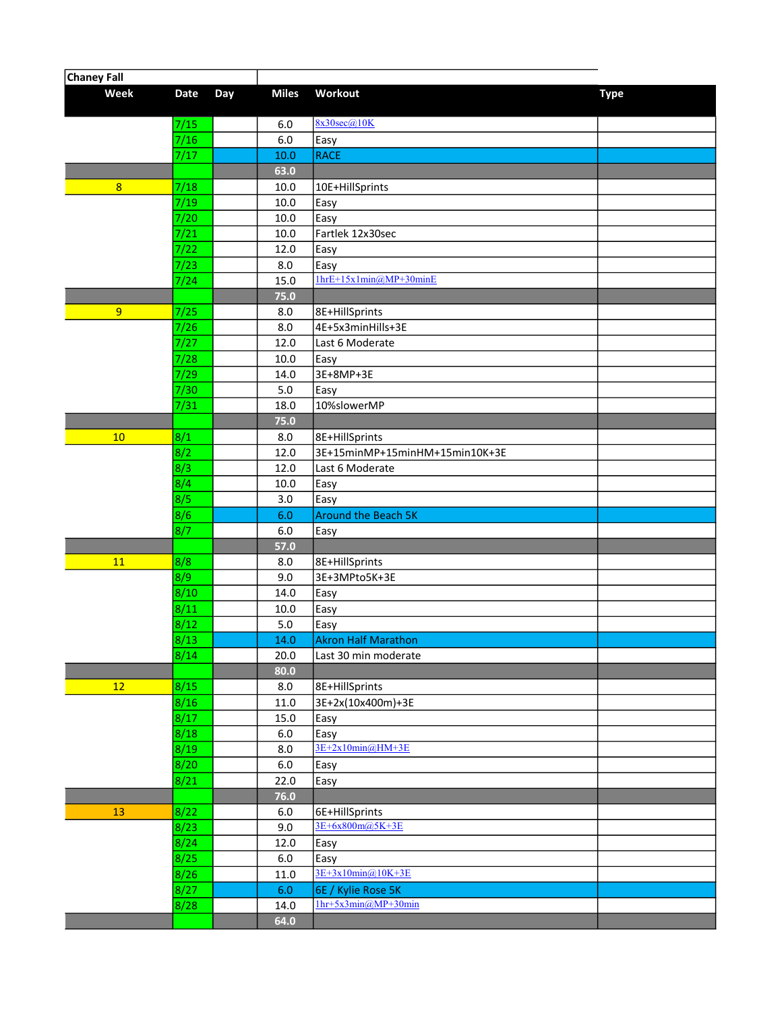| <b>Chaney Fall</b> |             |     |              |                                |             |
|--------------------|-------------|-----|--------------|--------------------------------|-------------|
| Week               | <b>Date</b> | Day | <b>Miles</b> | Workout                        | <b>Type</b> |
|                    | 7/15        |     | 6.0          | 8x30sec@10K                    |             |
|                    | 7/16        |     | $6.0\,$      | Easy                           |             |
|                    | 7/17        |     | 10.0         | <b>RACE</b>                    |             |
|                    |             |     | 63.0         |                                |             |
| 8                  | 7/18        |     | 10.0         | 10E+HillSprints                |             |
|                    | 7/19        |     | 10.0         | Easy                           |             |
|                    | 7/20        |     | 10.0         | Easy                           |             |
|                    | 7/21        |     | 10.0         | Fartlek 12x30sec               |             |
|                    | 7/22        |     | 12.0         | Easy                           |             |
|                    | 7/23        |     | 8.0          | Easy                           |             |
|                    | 7/24        |     | 15.0         | $1hrE+15x1min@MP+30minE$       |             |
|                    |             |     | 75.0         |                                |             |
| 9                  | 7/25        |     | 8.0          | 8E+HillSprints                 |             |
|                    | 7/26        |     | 8.0          | 4E+5x3minHills+3E              |             |
|                    | 7/27        |     | 12.0         | Last 6 Moderate                |             |
|                    | 7/28        |     | 10.0         | Easy                           |             |
|                    | 7/29        |     | 14.0         | 3E+8MP+3E                      |             |
|                    | 7/30        |     | 5.0          | Easy                           |             |
|                    | 7/31        |     | 18.0         | 10%slowerMP                    |             |
|                    |             |     | 75.0         |                                |             |
| 10                 | 8/1         |     | 8.0          | 8E+HillSprints                 |             |
|                    | 8/2         |     | 12.0         | 3E+15minMP+15minHM+15min10K+3E |             |
|                    | 8/3         |     | 12.0         | Last 6 Moderate                |             |
|                    | 8/4         |     | 10.0         | Easy                           |             |
|                    | 8/5         |     | 3.0          | Easy                           |             |
|                    | 8/6         |     | 6.0          | <b>Around the Beach 5K</b>     |             |
|                    | 8/7         |     | 6.0<br>57.0  | Easy                           |             |
| 11                 | 8/8         |     | 8.0          | 8E+HillSprints                 |             |
|                    | 8/9         |     | 9.0          | 3E+3MPto5K+3E                  |             |
|                    | 8/10        |     | 14.0         | Easy                           |             |
|                    | 8/11        |     | 10.0         | Easy                           |             |
|                    | 8/12        |     | 5.0          | Easy                           |             |
|                    | 8/13        |     | $14.0$       | <b>Akron Half Marathon</b>     |             |
|                    | 8/14        |     | 20.0         | Last 30 min moderate           |             |
|                    |             |     | 80.0         |                                |             |
| 12                 | 8/15        |     | 8.0          | 8E+HillSprints                 |             |
|                    | 8/16        |     | 11.0         | 3E+2x(10x400m)+3E              |             |
|                    | 8/17        |     | 15.0         | Easy                           |             |
|                    | 8/18        |     | 6.0          | Easy                           |             |
|                    | 8/19        |     | 8.0          | $3E+2x10min(2)HM+3E$           |             |
|                    | 8/20        |     | $6.0\,$      | Easy                           |             |
|                    | 8/21        |     | 22.0         | Easy                           |             |
|                    |             |     | 76.0         |                                |             |
| 13                 | 8/22        |     | $6.0\,$      | 6E+HillSprints                 |             |
|                    | 8/23        |     | 9.0          | 3E+6x800m@5K+3E                |             |
|                    | 8/24        |     | 12.0         | Easy                           |             |
|                    | 8/25        |     | $6.0\,$      | Easy                           |             |
|                    | 8/26        |     | 11.0         | 3E+3x10min@10K+3E              |             |
|                    | 8/27        |     | 6.0          | 6E / Kylie Rose 5K             |             |
|                    | 8/28        |     | 14.0         | $1hr+5x3min(@MP+30min$         |             |
|                    |             |     | 64.0         |                                |             |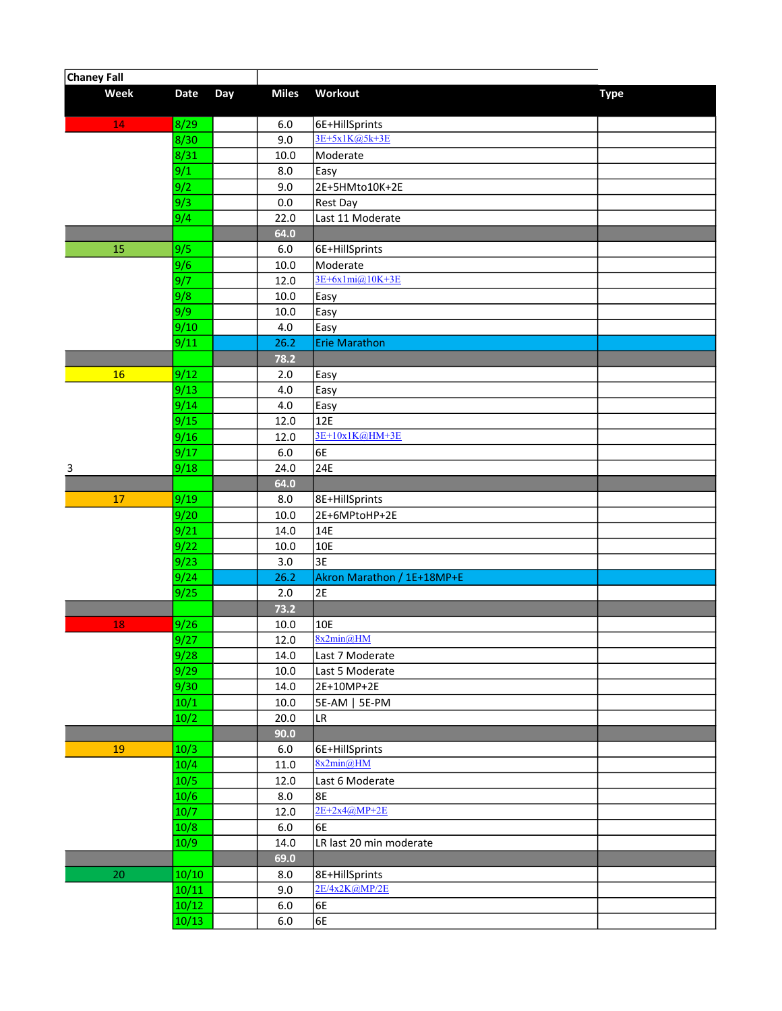| <b>Chaney Fall</b> |              |     |              |                            |             |
|--------------------|--------------|-----|--------------|----------------------------|-------------|
| Week               | Date         | Day | <b>Miles</b> | Workout                    | <b>Type</b> |
| 14                 | 8/29         |     | 6.0          | 6E+HillSprints             |             |
|                    | 8/30         |     | 9.0          | 3E+5x1K@5k+3E              |             |
|                    | 8/31         |     | 10.0         | Moderate                   |             |
|                    | 9/1          |     | 8.0          | Easy                       |             |
|                    | 9/2          |     | 9.0          | 2E+5HMto10K+2E             |             |
|                    | 9/3          |     | 0.0          | Rest Day                   |             |
|                    | 9/4          |     | 22.0         | Last 11 Moderate           |             |
|                    |              |     | 64.0         |                            |             |
| 15                 | 9/5          |     | $6.0$        | 6E+HillSprints             |             |
|                    | 9/6          |     | 10.0         | Moderate                   |             |
|                    | 9/7          |     | 12.0         | $3E+6x1mi@10K+3E$          |             |
|                    | 9/8          |     | 10.0         | Easy                       |             |
|                    | 9/9          |     | 10.0         | Easy                       |             |
|                    | 9/10         |     | 4.0          | Easy                       |             |
|                    | 9/11         |     | 26.2         | <b>Erie Marathon</b>       |             |
|                    |              |     | 78.2         |                            |             |
| 16                 | 9/12         |     | 2.0          | Easy                       |             |
|                    | 9/13         |     | 4.0          | Easy                       |             |
|                    | 9/14         |     | 4.0          | Easy                       |             |
|                    | 9/15         |     | 12.0         | 12E                        |             |
|                    | 9/16         |     | 12.0         | 3E+10x1K@HM+3E             |             |
|                    | 9/17         |     | $6.0\,$      | 6E                         |             |
| 3                  | 9/18         |     | 24.0         | 24E                        |             |
|                    |              |     | 64.0         |                            |             |
| 17                 | 9/19         |     | 8.0          | 8E+HillSprints             |             |
|                    | 9/20         |     | 10.0         | 2E+6MPtoHP+2E              |             |
|                    | 9/21<br>9/22 |     | 14.0         | 14E<br>10E                 |             |
|                    | 9/23         |     | 10.0<br>3.0  | 3E                         |             |
|                    | 9/24         |     | 26.2         | Akron Marathon / 1E+18MP+E |             |
|                    | 9/25         |     | 2.0          | 2E                         |             |
|                    |              |     | 73.2         |                            |             |
| 18                 | 9/26         |     | 10.0         | 10E                        |             |
|                    | 9/27         |     | $12.0\,$     | 8x2min@HM                  |             |
|                    | 9/28         |     | 14.0         | Last 7 Moderate            |             |
|                    | 9/29         |     | $10.0\,$     | Last 5 Moderate            |             |
|                    | 9/30         |     | 14.0         | 2E+10MP+2E                 |             |
|                    | 10/1         |     | 10.0         | 5E-AM   5E-PM              |             |
|                    | 10/2         |     | 20.0         | LR                         |             |
|                    |              |     | 90.0         |                            |             |
| 19                 | 10/3         |     | 6.0          | 6E+HillSprints             |             |
|                    | 10/4         |     | 11.0         | 8x2min@HM                  |             |
|                    | 10/5         |     | 12.0         | Last 6 Moderate            |             |
|                    | 10/6         |     | 8.0          | 8E                         |             |
|                    | 10/7         |     | 12.0         | $2E+2x4@MP+2E$             |             |
|                    | 10/8         |     | $6.0\,$      | 6E                         |             |
|                    | 10/9         |     | 14.0         | LR last 20 min moderate    |             |
|                    |              |     | 69.0         |                            |             |
| $20\,$             | 10/10        |     | 8.0          | 8E+HillSprints             |             |
|                    | 10/11        |     | 9.0          | 2E/4x2K@MP/2E              |             |
|                    | 10/12        |     | $6.0\,$      | 6E                         |             |
|                    | 10/13        |     | $6.0\,$      | 6E                         |             |
|                    |              |     |              |                            |             |